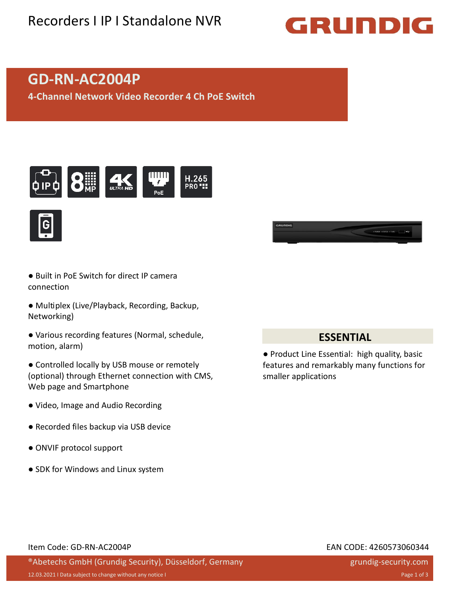## Recorders I IP I Standalone NVR

# GRUNDIG

## **GD-RN-AC2004P**

**4-Channel Network Video Recorder 4 Ch PoE Switch**







- Built in PoE Switch for direct IP camera connection
- Multiplex (Live/Playback, Recording, Backup, Networking)
- Various recording features (Normal, schedule, motion, alarm)
- Controlled locally by USB mouse or remotely (optional) through Ethernet connection with CMS, Web page and Smartphone
- Video, Image and Audio Recording
- Recorded files backup via USB device
- ONVIF protocol support
- SDK for Windows and Linux system

#### **ESSENTIAL**

● Product Line Essential: high quality, basic features and remarkably many functions for smaller applications

#### Item Code: GD-RN-AC2004P EAN CODE: 4260573060344

#### ®Abetechs GmbH (Grundig Security), Düsseldorf, Germany

## grundig-security.com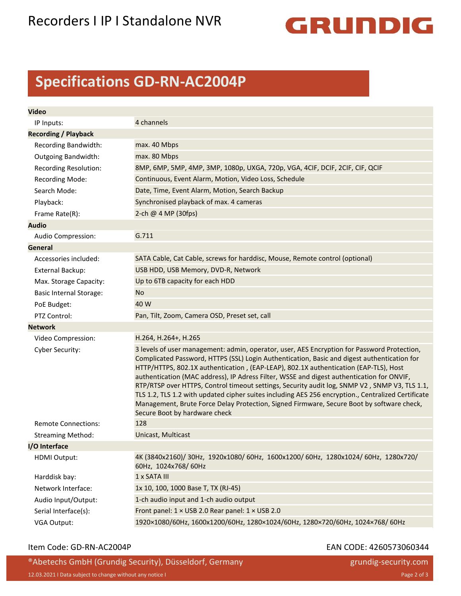## Recorders I IP I Standalone NVR



## **Specifications GD-RN-AC2004P**

| <b>Video</b>                            |                                                                                                                                                                                                                                                                                                                                                                                                                                                                                                                                                                                                                                                                                                                      |
|-----------------------------------------|----------------------------------------------------------------------------------------------------------------------------------------------------------------------------------------------------------------------------------------------------------------------------------------------------------------------------------------------------------------------------------------------------------------------------------------------------------------------------------------------------------------------------------------------------------------------------------------------------------------------------------------------------------------------------------------------------------------------|
| IP Inputs:                              | 4 channels                                                                                                                                                                                                                                                                                                                                                                                                                                                                                                                                                                                                                                                                                                           |
| <b>Recording / Playback</b>             |                                                                                                                                                                                                                                                                                                                                                                                                                                                                                                                                                                                                                                                                                                                      |
| Recording Bandwidth:                    | max. 40 Mbps                                                                                                                                                                                                                                                                                                                                                                                                                                                                                                                                                                                                                                                                                                         |
| <b>Outgoing Bandwidth:</b>              | max. 80 Mbps                                                                                                                                                                                                                                                                                                                                                                                                                                                                                                                                                                                                                                                                                                         |
| <b>Recording Resolution:</b>            | 8MP, 6MP, 5MP, 4MP, 3MP, 1080p, UXGA, 720p, VGA, 4CIF, DCIF, 2CIF, CIF, QCIF                                                                                                                                                                                                                                                                                                                                                                                                                                                                                                                                                                                                                                         |
| <b>Recording Mode:</b>                  | Continuous, Event Alarm, Motion, Video Loss, Schedule                                                                                                                                                                                                                                                                                                                                                                                                                                                                                                                                                                                                                                                                |
| Search Mode:                            | Date, Time, Event Alarm, Motion, Search Backup                                                                                                                                                                                                                                                                                                                                                                                                                                                                                                                                                                                                                                                                       |
| Playback:                               | Synchronised playback of max. 4 cameras                                                                                                                                                                                                                                                                                                                                                                                                                                                                                                                                                                                                                                                                              |
|                                         | 2-ch @ 4 MP (30fps)                                                                                                                                                                                                                                                                                                                                                                                                                                                                                                                                                                                                                                                                                                  |
| Frame Rate(R):                          |                                                                                                                                                                                                                                                                                                                                                                                                                                                                                                                                                                                                                                                                                                                      |
| <b>Audio</b>                            | G.711                                                                                                                                                                                                                                                                                                                                                                                                                                                                                                                                                                                                                                                                                                                |
| Audio Compression:                      |                                                                                                                                                                                                                                                                                                                                                                                                                                                                                                                                                                                                                                                                                                                      |
| <b>General</b><br>Accessories included: | SATA Cable, Cat Cable, screws for harddisc, Mouse, Remote control (optional)                                                                                                                                                                                                                                                                                                                                                                                                                                                                                                                                                                                                                                         |
|                                         | USB HDD, USB Memory, DVD-R, Network                                                                                                                                                                                                                                                                                                                                                                                                                                                                                                                                                                                                                                                                                  |
| <b>External Backup:</b>                 |                                                                                                                                                                                                                                                                                                                                                                                                                                                                                                                                                                                                                                                                                                                      |
| Max. Storage Capacity:                  | Up to 6TB capacity for each HDD                                                                                                                                                                                                                                                                                                                                                                                                                                                                                                                                                                                                                                                                                      |
| <b>Basic Internal Storage:</b>          | No                                                                                                                                                                                                                                                                                                                                                                                                                                                                                                                                                                                                                                                                                                                   |
| PoE Budget:                             | 40 W                                                                                                                                                                                                                                                                                                                                                                                                                                                                                                                                                                                                                                                                                                                 |
| PTZ Control:                            | Pan, Tilt, Zoom, Camera OSD, Preset set, call                                                                                                                                                                                                                                                                                                                                                                                                                                                                                                                                                                                                                                                                        |
| <b>Network</b>                          |                                                                                                                                                                                                                                                                                                                                                                                                                                                                                                                                                                                                                                                                                                                      |
| Video Compression:                      | H.264, H.264+, H.265                                                                                                                                                                                                                                                                                                                                                                                                                                                                                                                                                                                                                                                                                                 |
| Cyber Security:                         | 3 levels of user management: admin, operator, user, AES Encryption for Password Protection,<br>Complicated Password, HTTPS (SSL) Login Authentication, Basic and digest authentication for<br>HTTP/HTTPS, 802.1X authentication, (EAP-LEAP), 802.1X authentication (EAP-TLS), Host<br>authentication (MAC address), IP Adress Filter, WSSE and digest authentication for ONVIF,<br>RTP/RTSP over HTTPS, Control timeout settings, Security audit log, SNMP V2, SNMP V3, TLS 1.1,<br>TLS 1.2, TLS 1.2 with updated cipher suites including AES 256 encryption., Centralized Certificate<br>Management, Brute Force Delay Protection, Signed Firmware, Secure Boot by software check,<br>Secure Boot by hardware check |
| <b>Remote Connections:</b>              | 128                                                                                                                                                                                                                                                                                                                                                                                                                                                                                                                                                                                                                                                                                                                  |
| <b>Streaming Method:</b>                | Unicast, Multicast                                                                                                                                                                                                                                                                                                                                                                                                                                                                                                                                                                                                                                                                                                   |
| I/O Interface                           |                                                                                                                                                                                                                                                                                                                                                                                                                                                                                                                                                                                                                                                                                                                      |
| <b>HDMI Output:</b>                     | 4K (3840x2160)/ 30Hz, 1920x1080/ 60Hz, 1600x1200/ 60Hz, 1280x1024/ 60Hz, 1280x720/<br>60Hz, 1024x768/60Hz                                                                                                                                                                                                                                                                                                                                                                                                                                                                                                                                                                                                            |
| Harddisk bay:                           | 1 x SATA III                                                                                                                                                                                                                                                                                                                                                                                                                                                                                                                                                                                                                                                                                                         |
| Network Interface:                      | 1x 10, 100, 1000 Base T, TX (RJ-45)                                                                                                                                                                                                                                                                                                                                                                                                                                                                                                                                                                                                                                                                                  |
| Audio Input/Output:                     | 1-ch audio input and 1-ch audio output                                                                                                                                                                                                                                                                                                                                                                                                                                                                                                                                                                                                                                                                               |
| Serial Interface(s):                    | Front panel: 1 × USB 2.0 Rear panel: 1 × USB 2.0                                                                                                                                                                                                                                                                                                                                                                                                                                                                                                                                                                                                                                                                     |
| VGA Output:                             | 1920×1080/60Hz, 1600x1200/60Hz, 1280×1024/60Hz, 1280×720/60Hz, 1024×768/60Hz                                                                                                                                                                                                                                                                                                                                                                                                                                                                                                                                                                                                                                         |

#### Item Code: GD-RN-AC2004P EAN CODE: 4260573060344

grundig-security.com

®Abetechs GmbH (Grundig Security), Düsseldorf, Germany 12.03.2021 I Data subject to change without any notice I Page 2 of 3